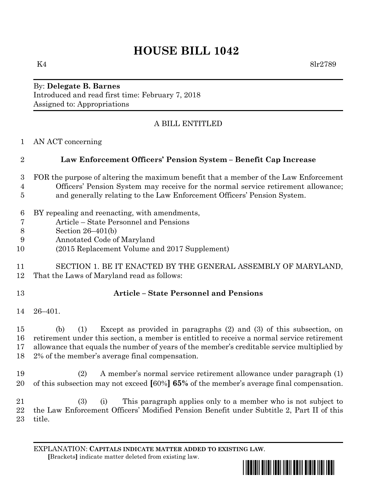# **HOUSE BILL 1042**

 $K4$  8lr2789

By: **Delegate B. Barnes** Introduced and read first time: February 7, 2018 Assigned to: Appropriations

## A BILL ENTITLED

AN ACT concerning

# **Law Enforcement Officers' Pension System – Benefit Cap Increase**

- FOR the purpose of altering the maximum benefit that a member of the Law Enforcement Officers' Pension System may receive for the normal service retirement allowance; and generally relating to the Law Enforcement Officers' Pension System.
- BY repealing and reenacting, with amendments,
- Article State Personnel and Pensions
- Section 26–401(b)
- Annotated Code of Maryland
- (2015 Replacement Volume and 2017 Supplement)
- SECTION 1. BE IT ENACTED BY THE GENERAL ASSEMBLY OF MARYLAND, That the Laws of Maryland read as follows:
- 

### **Article – State Personnel and Pensions**

26–401.

 (b) (1) Except as provided in paragraphs (2) and (3) of this subsection, on retirement under this section, a member is entitled to receive a normal service retirement allowance that equals the number of years of the member's creditable service multiplied by 2% of the member's average final compensation.

 (2) A member's normal service retirement allowance under paragraph (1) of this subsection may not exceed **[**60%**] 65%** of the member's average final compensation.

 (3) (i) This paragraph applies only to a member who is not subject to the Law Enforcement Officers' Modified Pension Benefit under Subtitle 2, Part II of this title.

EXPLANATION: **CAPITALS INDICATE MATTER ADDED TO EXISTING LAW**.  **[**Brackets**]** indicate matter deleted from existing law.